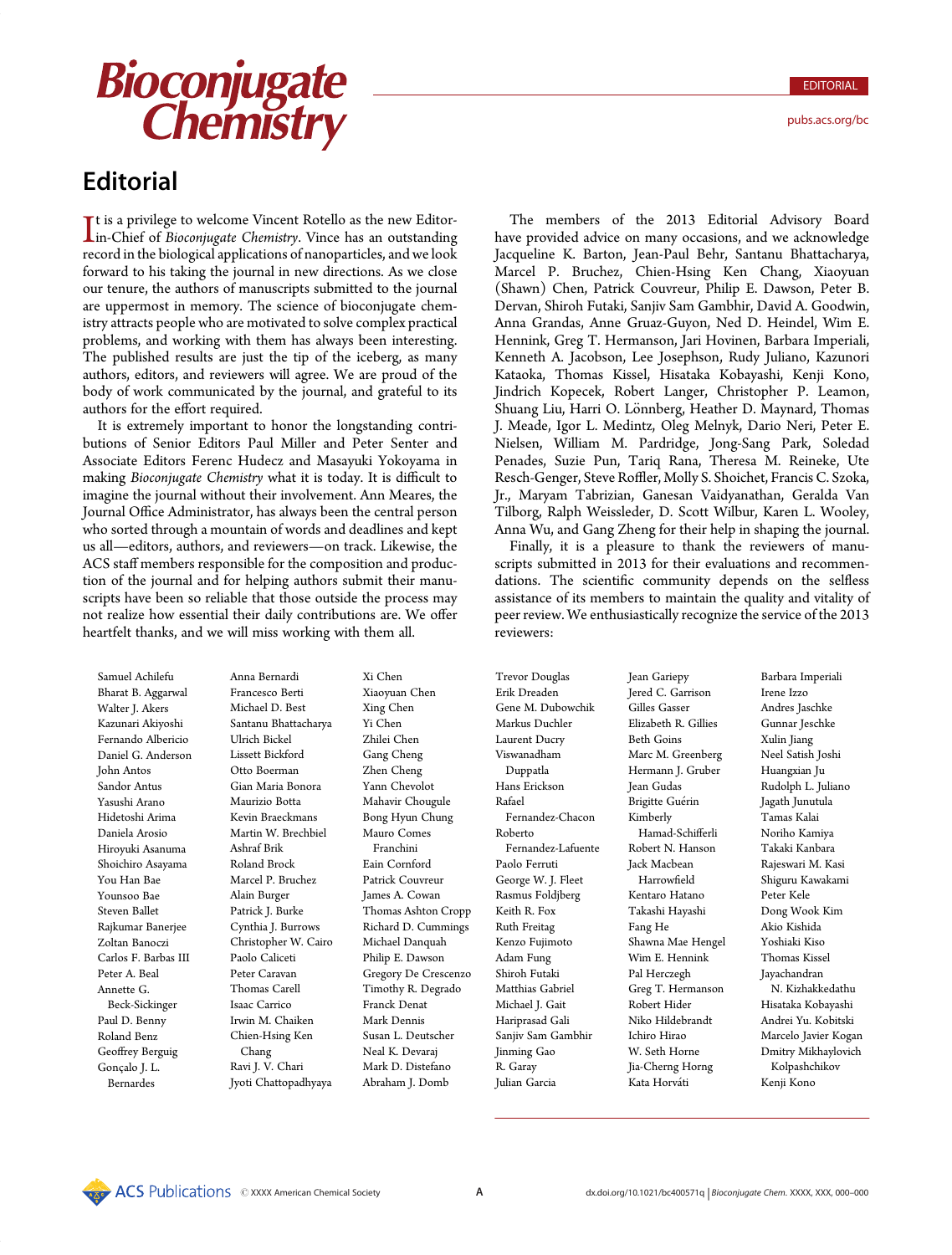It is a privilege to welcome Vincent Rotello as the new Editor-<br>Im-Chief of *Bioconjugate Chemistry*. Vince has an outstanding<br>record in the biological applications of papoparticles, and we look It is a privilege to welcome Vincent Rotello as the new Editorrecord in the biological applications of nanoparticles, and we look forward to his taking the journal in new directions. As we close our tenure, the authors of manuscripts submitted to the journal are uppermost in memory. The science of bioconjugate chemistry attracts people who are motivated to solve complex practical problems, and working with them has always been interesting. The published results are just the tip of the iceberg, as many authors, editors, and reviewers will agree. We are proud of the body of work communicated by the journal, and grateful to its authors for the effort required.

It is extremely important to honor the longstanding contributions of Senior Editors Paul Miller and Peter Senter and Associate Editors Ferenc Hudecz and Masayuki Yokoyama in making Bioconjugate Chemistry what it is today. It is difficult to imagine the journal without their involvement. Ann Meares, the Journal Office Administrator, has always been the central person who sorted through a mountain of words and deadlines and kept us all—editors, authors, and reviewers—on track. Likewise, the ACS staff members responsible for the composition and production of the journal and for helping authors submit their manuscripts have been so reliable that those outside the process may not realize how essential their daily contributions are. We offer heartfelt thanks, and we will miss working with them all.

Samuel Achilefu Bharat B. Aggarwal Walter J. Akers Kazunari Akiyoshi Fernando Albericio Daniel G. Anderson John Antos Sandor Antus Yasushi Arano Hidetoshi Arima Daniela Arosio Hiroyuki Asanuma Shoichiro Asayama You Han Bae Younsoo Bae Steven Ballet Rajkumar Banerjee Zoltan Banoczi Carlos F. Barbas III Peter A. Beal Annette G. Beck-Sickinger Paul D. Benny Roland Benz Geoffrey Berguig Gonçalo J. L. Bernardes

Anna Bernardi Francesco Berti Michael D. Best Santanu Bhattacharya Ulrich Bickel Lissett Bickford Otto Boerman Gian Maria Bonora Maurizio Botta Kevin Braeckmans Martin W. Brechbiel Ashraf Brik Roland Brock Marcel P. Bruchez Alain Burger Patrick J. Burke Cynthia J. Burrows Christopher W. Cairo Paolo Caliceti Peter Caravan Thomas Carell Isaac Carrico Irwin M. Chaiken Chien-Hsing Ken Chang Ravi J. V. Chari Jyoti Chattopadhyaya

Xi Chen Xiaoyuan Chen Xing Chen Yi Chen Zhilei Chen Gang Cheng Zhen Cheng Yann Chevolot Mahavir Chougule Bong Hyun Chung Mauro Comes Franchini Eain Cornford Patrick Couvreur James A. Cowan Thomas Ashton Cropp Richard D. Cummings Michael Danquah Philip E. Dawson Gregory De Crescenzo Timothy R. Degrado Franck Denat Mark Dennis Susan L. Deutscher Neal K. Devaraj Mark D. Distefano Abraham J. Domb

**FIXENTY FOR SOLUTION CONTROLL CONTROLL CONTROLL CONTROLL CONTROLL CONTROLL CONTROLL CONTROLL CONTROLL CONTROLL CONTROLL CONTROLL CONTROLL CONTROLL CONTROLL CONTROLL CONTROLL CONTROLL CONTROLL CONTROLL CONTROLL CONTROLL C** The members of the 2013 Editorial Advisory Board have provided advice on many occasions, and we acknowledge Jacqueline K. Barton, Jean-Paul Behr, Santanu Bhattacharya, Marcel P. Bruchez, Chien-Hsing Ken Chang, Xiaoyuan (Shawn) Chen, Patrick Couvreur, Philip E. Dawson, Peter B. Dervan, Shiroh Futaki, Sanjiv Sam Gambhir, David A. Goodwin, Anna Grandas, Anne Gruaz-Guyon, Ned D. Heindel, Wim E. Hennink, Greg T. Hermanson, Jari Hovinen, Barbara Imperiali, Kenneth A. Jacobson, Lee Josephson, Rudy Juliano, Kazunori Kataoka, Thomas Kissel, Hisataka Kobayashi, Kenji Kono, Jindrich Kopecek, Robert Langer, Christopher P. Leamon, Shuang Liu, Harri O. Lönnberg, Heather D. Maynard, Thomas J. Meade, Igor L. Medintz, Oleg Melnyk, Dario Neri, Peter E. Nielsen, William M. Pardridge, Jong-Sang Park, Soledad Penades, Suzie Pun, Tariq Rana, Theresa M. Reineke, Ute Resch-Genger, Steve Roffler, Molly S. Shoichet, Francis C. Szoka, Jr., Maryam Tabrizian, Ganesan Vaidyanathan, Geralda Van Tilborg, Ralph Weissleder, D. Scott Wilbur, Karen L. Wooley, Anna Wu, and Gang Zheng for their help in shaping the journal.

Finally, it is a pleasure to thank the reviewers of manuscripts submitted in 2013 for their evaluations and recommendations. The scientific community depends on the selfless assistance of its members to maintain the quality and vitality of peer review. We enthusiastically recognize the service of the 2013 reviewers:

Trevor Douglas Erik Dreaden Gene M. Dubowchik Markus Duchler Laurent Ducry Viswanadham Duppatla Hans Erickson Rafael Fernandez-Chacon Roberto Fernandez-Lafuente Paolo Ferruti George W. J. Fleet Rasmus Foldjberg Keith R. Fox Ruth Freitag Kenzo Fujimoto Adam Fung Shiroh Futaki Matthias Gabriel Michael J. Gait Hariprasad Gali Sanjiv Sam Gambhir Jinming Gao R. Garay Julian Garcia

Jean Gariepy Jered C. Garrison Gilles Gasser Elizabeth R. Gillies Beth Goins Marc M. Greenberg Hermann J. Gruber Jean Gudas Brigitte Guérin Kimberly Hamad-Schifferli Robert N. Hanson Jack Macbean Harrowfield Kentaro Hatano Takashi Hayashi Fang He Shawna Mae Hengel Wim E. Hennink Pal Herczegh Greg T. Hermanson Robert Hider Niko Hildebrandt Ichiro Hirao W. Seth Horne Jia-Cherng Horng Kata Horváti

Barbara Imperiali Irene Izzo Andres Jaschke Gunnar Jeschke Xulin Jiang Neel Satish Joshi Huangxian Ju Rudolph L. Juliano Jagath Junutula Tamas Kalai Noriho Kamiya Takaki Kanbara Rajeswari M. Kasi Shiguru Kawakami Peter Kele Dong Wook Kim Akio Kishida Yoshiaki Kiso Thomas Kissel Jayachandran N. Kizhakkedathu Hisataka Kobayashi Andrei Yu. Kobitski Marcelo Javier Kogan Dmitry Mikhaylovich Kolpashchikov Kenji Kono